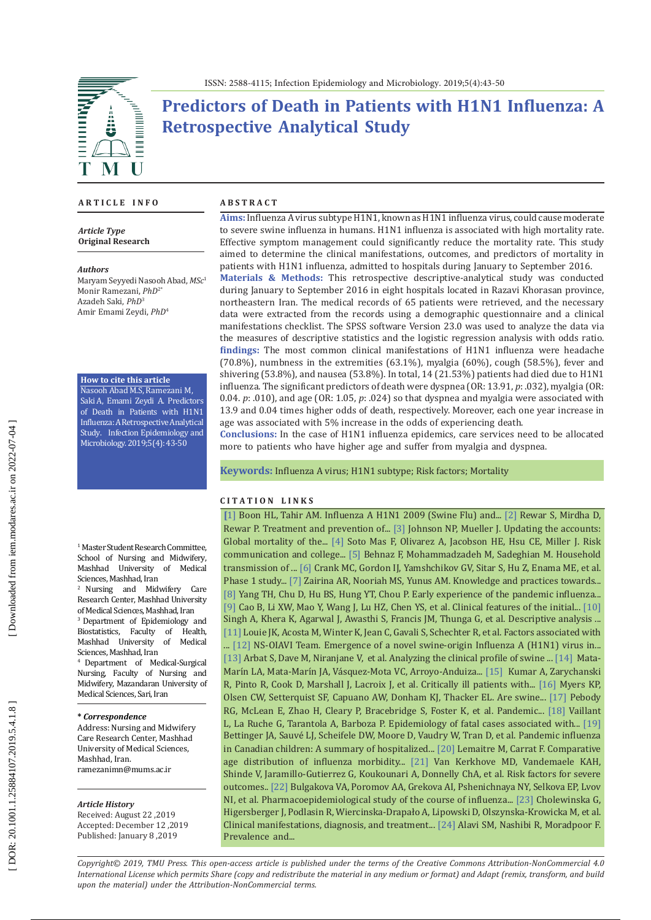

# **Predictors of Death in Patients with H1N1 Influenza: A Retrospective Analytical Study**

#### **A R T I C L E I N F O**

*Article Type* **Original Research**

*Authors* Maryam Seyyedi Nasooh Abad, *MSc* 1 Monir Ramezani, *PhD*2\* Azadeh Saki , *PhD* 3 Amir Emami Zeydi, *PhD* 4

**How to cite this article**

Nasooh Abad M.S, Ramezani M, Saki A, Emami Zeydi A. Predictors of Death in Patients with H1N1 Influenza: A Retrospective Analytical Study. Infection Epidemiology and Microbiology. 2019;5(4): 43-50

<sup>1</sup> Master Student Research Committee, School of Nursing and Midwifery,<br>Mashhad University of Medical Mashhad University Sciences, Mashhad, Iran

2 Nursing and Midwifery Care Research Center, Mashhad University of Medical Sciences, Mashhad, Iran

<sup>3</sup> Department of Epidemiology and<br>Biostatistics. Faculty of Health. Biostatistics, Faculty of Health,<br>Mashhad University of Medical Mashhad University Sciences, Mashhad, Iran

4 Department of Medical-Surgical Nursing, Faculty of Nursing and Midwifery, Mazandaran University of Medical Sciences, Sari, Iran

#### **\*** *Correspondence*

Address: Nursing and Midwifery Care Research Center, Mashhad University of Medical Sciences, Mashhad, Iran. ramezanimn@mums.ac.ir

#### *Article History*

Received: August 22 ,2019 Accepted: December 12 ,2019 Published: January 8 ,2019

#### **A B S T R A C T**

**Aims:** Influenza A virus subtype H1N1, known as H1N1 influenza virus, could cause moderate to severe swine influenza in humans. H1N1 influenza is associated with high mortality rate. Effective symptom management could significantly reduce the mortality rate. This study aimed to determine the clinical manifestations, outcomes, and predictors of mortality in patients with H1N1 influenza, admitted to hospitals during January to September 2016.

**Materials & Methods:** This retrospective descriptive-analytical study was conducted during January to September 2016 in eight hospitals located in Razavi Khorasan province, northeastern Iran. The medical records of 65 patients were retrieved, and the necessary data were extracted from the records using a demographic questionnaire and a clinical manifestations checklist. The SPSS software Version 23.0 was used to analyze the data via the measures of descriptive statistics and the logistic regression analysis with odds ratio. **findings:** The most common clinical manifestations of H1N1 influenza were headache  $(70.8\%)$ , numbness in the extremities  $(63.1\%)$ , myalgia  $(60\%)$ , cough  $(58.5\%)$ , fever and shivering (53.8%), and nausea (53.8%). In total, 14 (21.53%) patients had died due to H1N1 influenza. The significant predictors of death were dyspnea (OR: 13.91, *p*: .032), myalgia (OR: 0.04. *p*: .010), and age (OR: 1.05, *p*: .024) so that dyspnea and myalgia were associated with 13.9 and 0.04 times higher odds of death, respectively. Moreover, each one year increase in age was associated with 5% increase in the odds of experiencing death.

**Conclusions:** In the case of H1N1 influenza epidemics, care services need to be allocated more to patients who have higher age and suffer from myalgia and dyspnea.

**Keywords:** Influenza A [virus; H1N1](https://www.ncbi.nlm.nih.gov/mesh/68053118) subtype ; Risk factors; Mortality

#### **C I T A T I O N L I N K S**

**[**[1\]](https://www.ncbi.nlm.nih.gov/pmc/articles/PMC3295877/) Boon HL, Tahir AM. Influenza A H1N1 2009 (Swine Flu) and... [\[2\]](https://www.ncbi.nlm.nih.gov/pubmed/27036721) Rewar S, Mirdha D, Rewar P. Treatment and prevention of... [\[3\]](https://www.ncbi.nlm.nih.gov/pubmed/11875246) Johnson NP, Mueller J. Updating the accounts: Global mortality of the... [\[4\]](https://www.ncbi.nlm.nih.gov/pubmed/21524661) Soto Mas F, Olivarez A, Jacobson HE, Hsu CE, Miller J. Risk communication and college... [\[5\]](https://www.ncbi.nlm.nih.gov/pubmed/23021649) Behnaz F, Mohammadzadeh M, Sadeghian M. Household transmission of ... [\[6\]](https://journals.plos.org/plosone/article?id=10.1371/journal.pone.0123969) Crank MC, Gordon IJ, Yamshchikov GV, Sitar S, Hu Z, Enama ME, et al. Phase 1 study... [\[7](https://www.ncbi.nlm.nih.gov/pubmed/22111442) ] Zairina AR, Nooriah MS, Yunus AM. Knowledge and practices towards... [\[8\]](https://www.ncbi.nlm.nih.gov/pubmed/21783094) Yang TH, Chu D, Hu BS, Hung YT, Chou P. Early experience of the pandemic influenza... [ [9](https://www.ncbi.nlm.nih.gov/pubmed/20007555) ] Cao B, Li XW, Mao Y, Wang J, Lu HZ, Chen YS, et al. Clinical features of the initial... [\[10\]](https://www.ncbi.nlm.nih.gov/pubmed/28403799)  Singh A, Khera K, Agarwal J, Awasthi S, Francis JM, Thunga G, et al . Descriptive analysis ... [\[11](https://www.ncbi.nlm.nih.gov/pubmed/19887665) ] Louie JK, Acosta M, Winter K, Jean C, Gavali S, Schechter R, et al. Factors associated with ...  $[12]$  $[12]$  NS-OIAVI Team. Emergence of a novel swine-origin Influenza A  $(HINI)$  virus in... [\[13](https://www.ncbi.nlm.nih.gov/pubmed/28466053)] Arbat S, Dave M, Niranjane V, et al. Analyzing the clinical profile of swine ... [\[14](https://bmcresnotes.biomedcentral.com/articles/10.1186/s13104-015-1349-8)] Mata-Marin LA, Mata-Marin JA, Vasquez-Mota VC, Arroyo-Anduiza... [\[15](https://www.ncbi.nlm.nih.gov/pubmed/19822627)] Kumar A, Zarychanski R, Pinto R, Cook D, Marshall J, Lacroix J, et al. Critically ill patients with... [\[16](https://www.ncbi.nlm.nih.gov/pubmed/16323086)] Myers KP, Olsen CW, Setterquist SF, Capuano AW, Donham KJ, Thacker EL. Are swine... [\[](https://www.ncbi.nlm.nih.gov/pubmed/20504388) 1 7 ] Pebody RG, McLean E, Zhao H, Cleary P, Bracebridge S, Foster K, et al. Pandemic... [\[18](https://www.ncbi.nlm.nih.gov/pubmed/19712643)] Vaillant L, La Ruche G, Tarantola A, Barboza P. Epidemiology of fatal cases associated with... [19] Bettinger JA, Sauvé LJ, Scheifele DW, Moore D, Vaudry W, Tran D, et al. Pandemic influenza in Canadian children: A summary of hospitalized... [\[20](https://bmcinfectdis.biomedcentral.com/articles/10.1186/1471-2334-10-162) ] Lemaitre M, Carrat F. Comparative age distribution of influenza morbidity... [\[21](https://www.ncbi.nlm.nih.gov/pubmed/21750667) ] Van Kerkhove MD, Vandemaele KAH, Shinde V, Jaramillo -Gutierrez G, Koukounari A, Donnelly ChA, et al. Risk factors for severe outcomes.. [\[22](https://www.ncbi.nlm.nih.gov/pubmed/28252630) ] Bulgakova VA, Poromov AA, Grekova AI, Pshenichnaya NY, Selkova EP, Lvov NI, et al. Pharmacoepidemiological study of the course of influenza... [\[23](https://www.ncbi.nlm.nih.gov/pubmed/20499654) ] Cholewinska G, Higersberger J, Podlasin R, Wiercinska-Drapało A, Lipowski D, Olszynska-Krowicka M, et al. Clinical manifestations, diagnosis, and treatment..[. \[24](https://www.ncbi.nlm.nih.gov/pmc/articles/PMC4138618/) ] Alavi SM, Nashibi R, Moradpoor F. Prevalence and...

*Copyright© 2019, TMU Press. This open-access article is published under the terms of the Creative Commons Attribution-NonCommercial 4.0 International License which permits Share (copy and redistribute the material in any medium or format) and Adapt (remix, transform, and build upon the material) under the Attribution-NonCommercial terms.*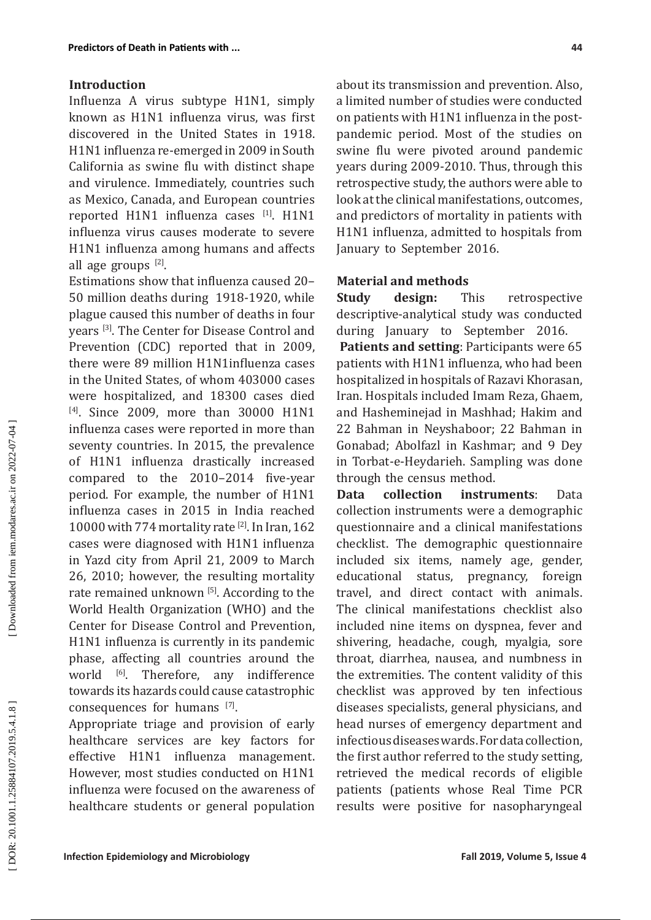#### **Introduction**

Influenza A virus subtype H1N1, simply known as H1N1 influenza virus, was first discovered in the United States in 1918. H1N1 influenza re -emerged in 2009 in South California as swine flu with distinct shape and virulence. Immediately, countries such as Mexico, Canada, and European countries reported H1N1 influenza cases [1]. H1N1 influenza virus causes moderate to severe H1N1 influenza among humans and affects all age groups <sup>[2]</sup>.

Estimations show that influenza caused 20– 50 million deaths during 1918-1920, while plague caused this number of deaths in four years [ 3 ] . The Center for Disease Control and Prevention (CDC) reported that in 2009, there were 89 million H1N1influenza cases in the United States, of whom 403000 cases were hospitalized, and 18300 cases died <sup>[4]</sup>. Since 2009, more than 30000 H1N1 influenza cases were reported in more than seventy countries. In 2015, the prevalence of H1N1 influenza drastically increased compared to the 2010–2014 five -year period. For example, the number of H1N1 influenza cases in 2015 in India reached 10000 with 774 mortality rate  $^{[2]}$ . In Iran, 162 cases were diagnosed with H1N1 influenza in Yazd city from April 21, 2009 to March 26, 2010; however, the resulting mortality rate remained unknown [5]. According to the World Health Organization (WHO) and the Center for Disease Control and Prevention, H1N1 influenza is currently in its pandemic phase, affecting all countries around the world <sup>[6]</sup> any indifference towards its hazards could cause catastrophic consequences for humans  $[7]$ .

Appropriate triage and provision of early healthcare services are key factors for effective H1N1 influenza management. However, most studies conducted on H1N1 influenza were focused on the awareness of healthcare students or general population

about its transmission and prevention. Also, a limited number of studies were conducted on patients with H1N1 influenza in the post pandemic period. Most of the studies on swine flu were pivoted around pandemic years during 2009-2010. Thus, through this retrospective study, the authors were able to look at the clinical manifestations, outcomes, and predictors of mortality in patients with H1N1 influenza, admitted to hospitals from January to September 2016.

## **Material and methods**

**Study design:** This retrospective descriptive -analytical study was conducted during January to September 2016 . **Patients and setting**: Participants were 65

patients with H1N1 influenza, who had been hospitalized in hospitals of Razavi Khorasan, Iran. Hospitals included Imam Reza, Ghaem, and Hasheminejad in Mashhad; Hakim and 22 Bahman in Neyshaboor; 22 Bahman in Gonabad; Abolfazl in Kashmar; and 9 Dey in Torbat - e -Heydarieh. Sampling was done through the census method.

**Data collection instruments**: Data collection instruments were a demographic questionnaire and a clinical manifestations checklist. The demographic questionnaire included six items, namely age, gender, educational status, pregnancy, foreign travel, and direct contact with animals. The clinical manifestations checklist also included nine items on dyspnea, fever and shivering, headache, cough, myalgia, sore throat, diarrhea, nausea, and numbness in the extremities. The content validity of this checklist was approved by ten infectious diseases specialists, general physicians, and head nurses of emergency department and infectiousdiseaseswards. Fordatacollection, the first author referred to the study setting, retrieved the medical records of eligible patients (patients whose Real Time PCR results were positive for nasopharyngeal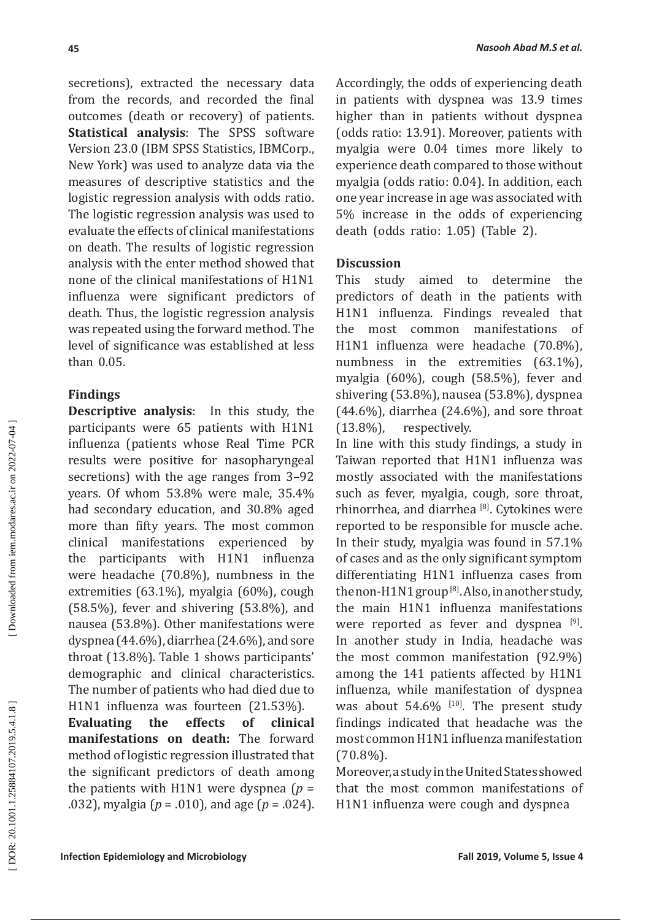secretions), extracted the necessary data from the records, and recorded the final outcomes (death or recovery) of patients . **Statistical analysis**: The SPSS software Version 23.0 (IBM SPSS Statistics, IBMCorp., New York) was used to analyze data via the measures of descriptive statistics and the logistic regression analysis with odds ratio. The logistic regression analysis was used to evaluate the effects of clinical manifestations on death. The results of logistic regression analysis with the enter method showed that none of the clinical manifestations of H1N1 influenza were significant predictors of death. Thus, the logistic regression analysis was repeated using the forward method. The level of significance was established at less than 0.05.

# **Findings**

**Descriptive analysis**: In this study, the participants were 65 patients with H1N1 influenza (patients whose Real Time PCR results were positive for nasopharyngeal secretions) with the age ranges from 3–92 years. Of whom 53.8% were male, 35.4% had secondary education, and 30.8% aged more than fifty years. The most common<br>clinical manifestations experienced by clinical manifestations experienced by the participants with H1N1 influenza were headache (70.8%), numbness in the extremities (63.1%), myalgia (60%), cough (58.5%), fever and shivering (53.8%), and nausea (53.8%). Other manifestations were dyspnea (44.6%), diarrhea (24.6%), and sore throat (13.8%). Table 1 shows participants' demographic and clinical characteristics. The number of patients who had died due to

H1N1 influenza was fourteen (21.53%).<br>**Evaluating the effects of clinical**  $E$ valuating **manifestations on death:** The forward method of logistic regression illustrated that the significant predictors of death among the patients with H1N1 were dyspnea  $(p =$ .032), myalgia ( *p* = .010), and age ( *p* = .024). Accordingly, the odds of experiencing death in patients with dyspnea was 13.9 times higher than in patients without dyspnea (odds ratio: 13.91). Moreover, patients with myalgia were 0.04 times more likely to experience death compared to those without myalgia (odds ratio: 0.04). In addition, each one year increase in age was associated with 5% increase in the odds of experiencing death (odds ratio: 1.05) (Table 2).

# **Discussion**

This study aimed to determine the predictors of death in the patients with H1N1 influenza. Findings revealed that the most common manifestations of H1N1 influenza were headache (70.8%), numbness in the extremities (63.1%), myalgia (60%), cough (58.5%), fever and shivering (53.8%), nausea (53.8%), dyspnea (44.6%), diarrhea (24.6%), and sore throat (13.8%), respectively.

In line with this study findings, a study in Taiwan reported that H1N1 influenza was mostly associated with the manifestations such as fever, myalgia, cough, sore throat, rhinorrhea, and diarrhea <sup>[8]</sup>. [Cytokines](https://www.sciencedirect.com/topics/medicine-and-dentistry/cytokines) were reported to be responsible for muscle ache. In their study, myalgia was found in 57.1% of cases and as the only significant symptom differentiating H1N1 influenza cases from the non-H1N1 group  $^{[8]}$ . Also, in another study, the main H1N1 influenza manifestations were reported as fever and dyspnea  $^{[9]}$ . In another study in India, headache was the most common manifestation (92.9%) among the 141 patients affected by H1N1 influenza, while manifestation of dyspnea was about  $54.6\%$  <sup>[10]</sup>. The present study findings indicated that headache was the most common H1N1 influenza manifestation (70.8%).

Moreover, astudyintheUnitedStatesshowed that the most common manifestations of H1N1 influenza were cough and dyspnea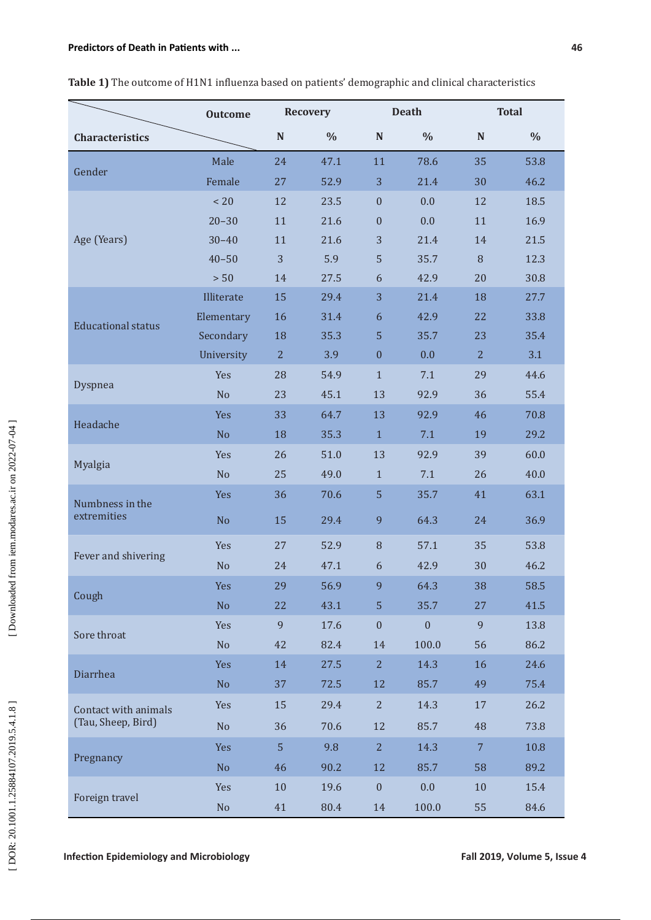|                                | <b>Outcome</b> |                | <b>Recovery</b> | <b>Death</b>     |                  | <b>Total</b>   |      |
|--------------------------------|----------------|----------------|-----------------|------------------|------------------|----------------|------|
| <b>Characteristics</b>         |                | ${\bf N}$      | $\%$            | $\mathbf N$      | $\%$             | $\mathbb N$    | $\%$ |
|                                | Male           | 24             | 47.1            | 11               | 78.6             | 35             | 53.8 |
| Gender                         | Female         | 27             | 52.9            | 3                | 21.4             | 30             | 46.2 |
| Age (Years)                    | < 20           | 12             | 23.5            | $\mathbf{0}$     | 0.0              | 12             | 18.5 |
|                                | $20 - 30$      | 11             | 21.6            | $\boldsymbol{0}$ | 0.0              | 11             | 16.9 |
|                                | $30 - 40$      | 11             | 21.6            | 3                | 21.4             | 14             | 21.5 |
|                                | $40 - 50$      | 3              | 5.9             | 5                | 35.7             | 8              | 12.3 |
|                                | > 50           | 14             | 27.5            | 6                | 42.9             | 20             | 30.8 |
| <b>Educational status</b>      | Illiterate     | 15             | 29.4            | 3                | 21.4             | 18             | 27.7 |
|                                | Elementary     | 16             | 31.4            | 6                | 42.9             | 22             | 33.8 |
|                                | Secondary      | 18             | 35.3            | 5                | 35.7             | 23             | 35.4 |
|                                | University     | $\overline{2}$ | 3.9             | $\boldsymbol{0}$ | 0.0              | $\overline{2}$ | 3.1  |
| Dyspnea                        | Yes            | 28             | 54.9            | $\mathbf{1}$     | 7.1              | 29             | 44.6 |
|                                | N <sub>o</sub> | 23             | 45.1            | 13               | 92.9             | 36             | 55.4 |
|                                | <b>Yes</b>     | 33             | 64.7            | 13               | 92.9             | 46             | 70.8 |
| Headache                       | N <sub>o</sub> | 18             | 35.3            | $\mathbf{1}$     | 7.1              | 19             | 29.2 |
| Myalgia                        | Yes            | 26             | 51.0            | 13               | 92.9             | 39             | 60.0 |
|                                | No             | 25             | 49.0            | $\mathbf{1}$     | 7.1              | 26             | 40.0 |
| Numbness in the<br>extremities | <b>Yes</b>     | 36             | 70.6            | 5                | 35.7             | 41             | 63.1 |
|                                | No             | 15             | 29.4            | 9                | 64.3             | 24             | 36.9 |
| Fever and shivering            | Yes            | 27             | 52.9            | 8                | 57.1             | 35             | 53.8 |
|                                | No             | 24             | 47.1            | 6                | 42.9             | 30             | 46.2 |
|                                | Yes            | 29             | 56.9            | 9                | 64.3             | 38             | 58.5 |
| Cough                          | No             | 22             | 43.1            | 5                | 35.7             | 27             | 41.5 |
| Sore throat                    | Yes            | 9              | 17.6            | $\boldsymbol{0}$ | $\boldsymbol{0}$ | 9              | 13.8 |
|                                | No             | 42             | 82.4            | 14               | 100.0            | 56             | 86.2 |
| Diarrhea                       | <b>Yes</b>     | 14             | 27.5            | $\overline{2}$   | 14.3             | 16             | 24.6 |
|                                | N <sub>o</sub> | 37             | 72.5            | 12               | 85.7             | 49             | 75.4 |
| Contact with animals           | Yes            | 15             | 29.4            | $\overline{2}$   | 14.3             | $17\,$         | 26.2 |
| (Tau, Sheep, Bird)             | N <sub>o</sub> | 36             | 70.6            | 12               | 85.7             | 48             | 73.8 |
|                                | Yes            | 5              | 9.8             | $\overline{2}$   | 14.3             | $\overline{7}$ | 10.8 |
| Pregnancy                      | N <sub>o</sub> | 46             | 90.2            | 12               | 85.7             | 58             | 89.2 |
|                                | Yes            | 10             | 19.6            | $\boldsymbol{0}$ | 0.0              | 10             | 15.4 |
| Foreign travel                 |                |                |                 |                  |                  |                |      |

No 41 80.4 14 100.0 55 84.6

### **Table 1)** The outcome of H1N1 influenza based on patients' demographic and clinical characteristics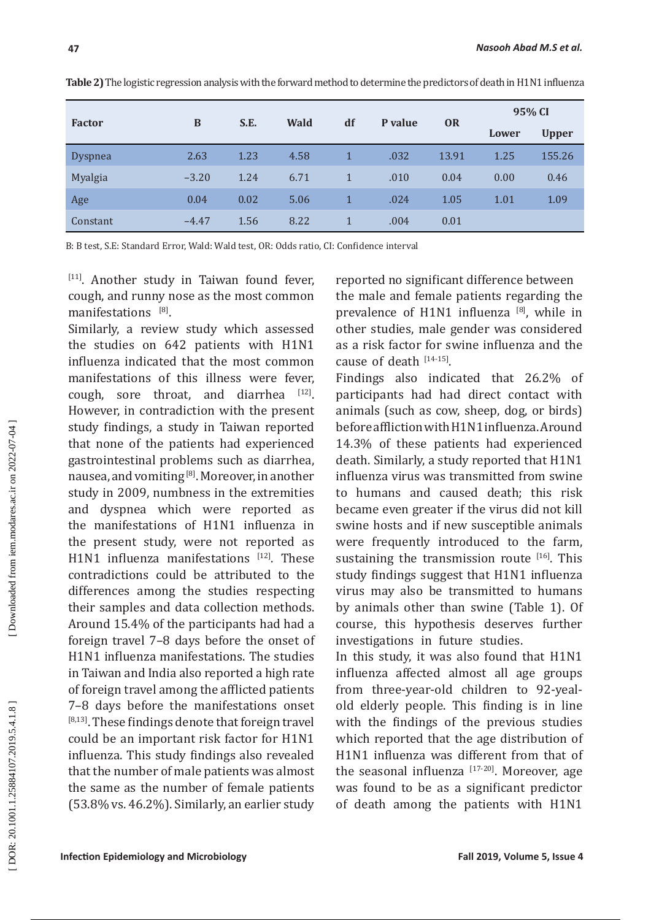| × |  |
|---|--|
|   |  |
|   |  |

| <b>Factor</b>  | B       | S.E. | <b>Wald</b> | df | P value | <b>OR</b> | 95% CI |              |
|----------------|---------|------|-------------|----|---------|-----------|--------|--------------|
|                |         |      |             |    |         |           | Lower  | <b>Upper</b> |
| <b>Dyspnea</b> | 2.63    | 1.23 | 4.58        |    | .032    | 13.91     | 1.25   | 155.26       |
| Myalgia        | $-3.20$ | 1.24 | 6.71        |    | .010    | 0.04      | 0.00   | 0.46         |
| Age            | 0.04    | 0.02 | 5.06        |    | .024    | 1.05      | 1.01   | 1.09         |
| Constant       | $-4.47$ | 1.56 | 8.22        |    | .004    | 0.01      |        |              |

**Table 2)**The logistic regression analysis with the forward method to determine the predictors of death in H1N1 influenza

B: B test, S.E: Standard Error, Wald: Wald test, OR: Odds ratio, CI: Confidence interval

[11 ] . Another study in Taiwan found fever, cough, and runny nose as the most common manifestations <sup>[8]</sup>.

Similarly, a review study which assessed the studies on 642 patients with H1N1 influenza indicated that the most common manifestations of this illness were fever,  $cough$ , sore throat, and diarrhea  $[12]$ . However, in contradiction with the present study findings, a study in Taiwan reported that none of the patients had experienced gastrointestinal problems such as diarrhea, nausea, and vomiting <sup>[8]</sup>. Moreover, in another study in 2009, numbness in the extremities and dyspnea which were reported as the manifestations of H1N1 influenza in the present study, were not reported as H1N1 influenza manifestations <sup>[12]</sup>. These contradictions could be attributed to the differences among the studies respecting their samples and data collection methods . Around 15.4% of the participants had had a foreign travel 7–8 days before the onset of H1N1 influenza manifestations. The studies in Taiwan and India also reported a high rate of foreign travel among the afflicted patients 7–8 days before the manifestations onset <sup>[8,13]</sup>. These findings denote that foreign travel could be an important risk factor for H1N1 influenza. This study findings also revealed that the number of male patients was almost the same as the number of female patients (53.8% vs. 46.2%). Similarly, an earlier study

reported no significant difference between the male and female patients regarding the prevalence of H1N1 influenza [ 8 ] , while in other studies, male gender was considered as a risk factor for swine influenza and the cause of death  $[14-15]$ .

Findings also indicated that 26.2% of participants had had direct contact with animals (such as cow, sheep, dog, or birds) before affliction with H1N1 influenza. Around 14.3% of these patients had experienced death. Similarly, a study reported that H1N1 influenza virus was transmitted from swine to humans and caused death; this risk became even greater if the virus did not kill swine hosts and if new susceptible animals were frequently introduced to the farm, sustaining the transmission route  $[16]$ . This study findings suggest that H1N1 influenza virus may also be transmitted to humans by animals other than swine (Table 1). Of course, this hypothesis deserves further investigations in future studies .

In this study, it was also found that H1N1 influenza affected almost all age groups from three-year-old children to 92-yealold elderly people. This finding is in line with the findings of the previous studies which reported that the age distribution of H1N1 influenza was different from that of the seasonal influenza  $17-20$ . Moreover, age was found to be as a significant predictor of death among the patients with H1N1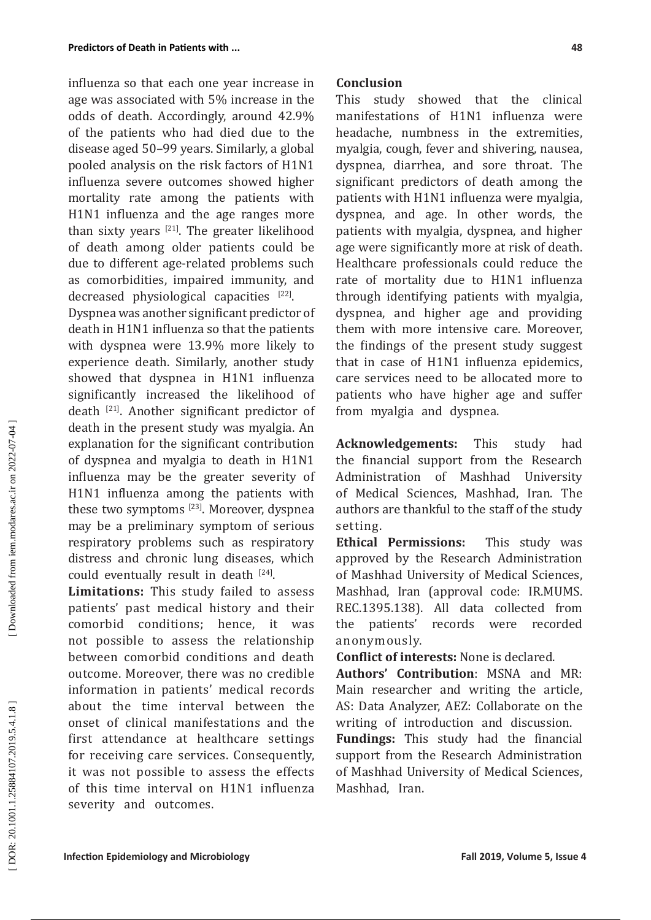influenza so that each one year increase in age was associated with 5% increase in the odds of death. Accordingly, around 42.9% of the patients who had died due to the disease aged 50–99 years. Similarly, a global pooled analysis on the risk factors of H1N1 influenza severe outcomes showed higher mortality rate among the patients with H1N1 influenza and the age ranges more than sixty years  $^{[21]}$ . The greater likelihood of death among older patients could be due to different age -related problems such as comorbidities, impaired immunity, and decreased physiological capacities <sup>[22]</sup>.

Dyspnea was another significant predictor of death in H1N1 influenza so that the patients with dyspnea were 13.9% more likely to experience death. Similarly, another study showed that dyspnea in H1N1 influenza significantly increased the likelihood of death [21 ] . Another significant predictor of death in the present study was myalgia. An explanation for the significant contribution of dyspnea and myalgia to death in H1N1 influenza may be the greater severity of H1N1 influenza among the patients with these two symptoms <sup>[23]</sup>. Moreover, dyspnea may be a preliminary symptom of serious respiratory problems such as respiratory distress and chronic lung diseases, which could eventually result in death  $^{[24]}$ .

**Limitations:** This study failed to assess patients' past medical history and their comorbid conditions; hence, it was not possible to assess the relationship between comorbid conditions and death outcome. Moreover, there was no credible information in patients' medical records about the time interval between the onset of clinical manifestations and the first attendance at healthcare settings for receiving care services. Consequently, it was not possible to assess the effects of this time interval on H1N1 influenza severity and outcomes.

#### **Conclusion**

This study showed that the clinical manifestations of H1N1 influenza were headache, numbness in the extremities, myalgia, cough, fever and shivering, nausea, dyspnea, diarrhea, and sore throat. The significant predictors of death among the patients with H1N1 influenza were myalgia, dyspnea, and age. In other words, the patients with myalgia, dyspnea, and higher age were significantly more at risk of death. Healthcare professionals could reduce the rate of mortality due to H1N1 influenza through identifying patients with myalgia, dyspnea, and higher age and providing them with more intensive care. Moreover, the findings of the present study suggest that in case of H1N1 influenza epidemics, care services need to be allocated more to patients who have higher age and suffer from myalgia and dyspnea .

**Acknowledgements:** This study had the financial support from the Research Administration of Mashhad University of Medical Sciences, Mashhad, Iran. The authors are thankful to the staff of the study setting.

**Ethical Permissions:** This study was approved by the Research Administration of Mashhad University of Medical Sciences, Mashhad, Iran (approval code: IR .MUMS . REC .1395.138). All data collected from the patients' records were recorded anonymously .

**Conflict of interests:** None is declared .

**Authors' Contribution**: MSNA and MR: Main researcher and writing the article, AS: Data Analyzer, AEZ: Collaborate on the writing of introduction and discussion.

**Fundings:** This study had the financial support from the Research Administration of Mashhad University of Medical Sciences, Mashhad, Iran.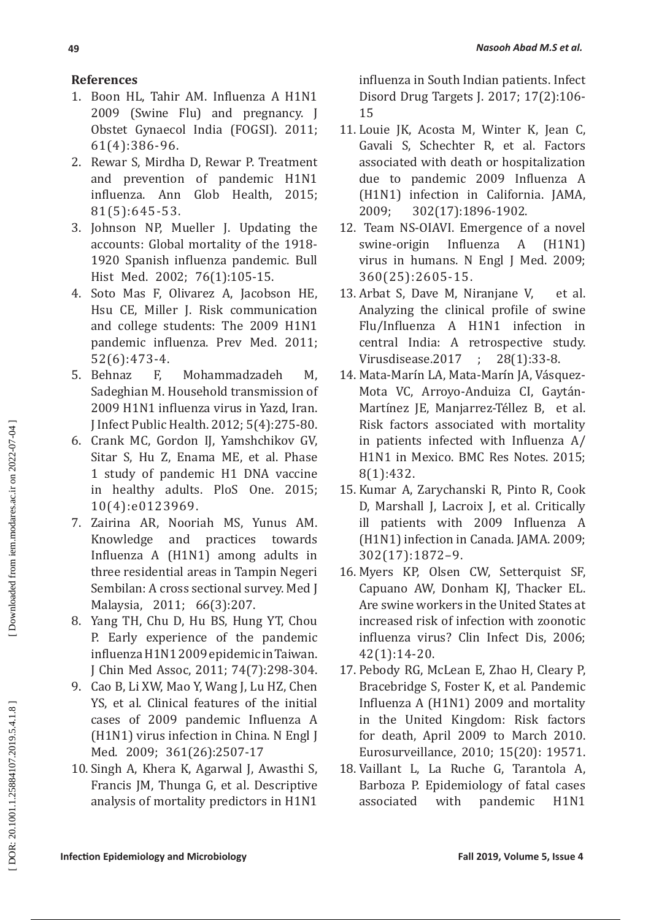# **References**

- 1. Boon HL, Tahir AM. Influenza A H1N1 2009 (Swine Flu) and pregnancy. J Obstet Gynaecol India (FOGSI). 2011; 61(4):386-96.
- 2. Rewar S, Mirdha D, Rewar P. Treatment and prevention of pandemic H1N1 influenza. Ann Glob Health, 2015; 81(5):645-53.
- 3. Johnson NP, Mueller J. Updating the accounts: Global mortality of the 1918- 1920 Spanish influenza pandemic. Bull Hist Med. 2002; 76(1):105-15.
- 4. Soto Mas F, Olivarez A, Jacobson HE, Hsu CE, Miller J. Risk communication and college students: The 2009 H1N1 pandemic influenza. Prev Med. 2011; 52(6):473-4.
- 5. Behnaz F, Mohammadzadeh M, Sadeghian M. Household transmission of 2009 H1N1 influenza virus in Yazd, Iran. J Infect Public Health. 2012; 5(4):275-80.
- 6. Crank MC, Gordon IJ, Yamshchikov GV, Sitar S, Hu Z, Enama ME, et al. Phase 1 study of pandemic H1 DNA vaccine in healthy adults. PloS One. 2015; 10(4):e0123969.
- 7. Zairina AR, Nooriah MS, Yunus AM. Knowledge and practices towards Influenza A (H1N1) among adults in three residential areas in Tampin Negeri Sembilan: A cross sectional survey. Med J Malaysia, 2011; 66(3):207.
- 8. Yang TH, Chu D, Hu BS, Hung YT, Chou P. Early experience of the pandemic influenza H1N1 2009 epidemic in Taiwan. J Chin Med Assoc, 2011; 74(7):298-304.
- 9. Cao B, Li XW, Mao Y, Wang J, Lu HZ, Chen YS, et al. Clinical features of the initial cases of 2009 pandemic Influenza A (H1N1) virus infection in China. N Engl J Med. 2009; 361(26):2507-17
- 10. Singh A, Khera K, Agarwal J, Awasthi S, Francis JM, Thunga G, et al . Descriptive analysis of mortality predictors in H1N1

influenza in South Indian patients. Infect Disord Drug Targets J. 2017; 17(2):106- 15

- 11. Louie JK, Acosta M, Winter K, Jean C, Gavali S, Schechter R, et al. Factors associated with death or hospitalization due to pandemic 2009 Influenza A (H1N1) infection in California. JAMA, 2009; 302(17):1896-1902 .
- 12. Team NS -OIAVI. Emergence of a novel swine-origin Influenza A (H1N1) virus in humans. N Engl J Med. 2009; 360(25):2605-15 .
- 13. Arbat S, Dave M, Niranjane et al. Analyzing the clinical profile of swine Flu /Influenza A H1N1 infection in central India: A retrospective study. Virusdisease .2017 ; 28(1):33-8  $28(1):33-8.$
- 14. Mata-Marín LA, Mata-Marín JA, Vásquez-Mota VC, Arroyo -Anduiza CI, Gaytán - Martínez JE, Manjarrez-Téllez B, et al. Risk factors associated with mortality in patients infected with Influenza A / H1N1 in Mexico. BMC Res Notes. 2015; 8(1):432 .
- 15. Kumar A, Zarychanski R, Pinto R, Cook D, Marshall J, Lacroix J, et al. Critically ill patients with 2009 Influenza A (H1N1) infection in Canada. JAMA. 2009; 302(17):1872–9 .
- 16. Myers KP, Olsen CW, Setterquist SF, Capuano AW, Donham KJ, Thacker EL. Are swine workers in the United States at increased risk of infection with zoonotic influenza virus? Clin Infect Dis, 2006; 42(1):14-20 .
- 17. Pebody RG, McLean E, Zhao H, Cleary P, Bracebridge S, Foster K, et al. Pandemic Influenza A (H1N1) 2009 and mortality in the United Kingdom: Risk factors for death, April 2009 to March 2010. Eurosurveillance, 2010; 15(20): 19571 .
- 18. Vaillant L, La Ruche G, Tarantola A, Barboza P. Epidemiology of fatal cases associated with pandemic H1N1

DOR: 20.1001.1.25884107.2019.5.4.1.8